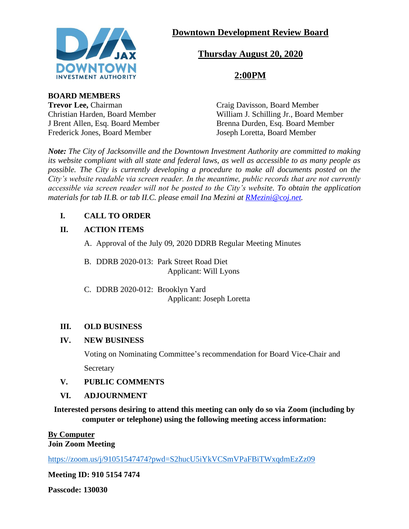

# **Downtown Development Review Board**

# **Thursday August 20, 2020**

# **2:00PM**

**BOARD MEMBERS**

**Trevor Lee, Chairman Craig Davisson, Board Member** Christian Harden, Board Member William J. Schilling Jr., Board Member J Brent Allen, Esq. Board Member<br>
Frederick Jones. Board Member<br>
Joseph Loretta. Board Member Joseph Loretta, Board Member

*Note: The City of Jacksonville and the Downtown Investment Authority are committed to making its website compliant with all state and federal laws, as well as accessible to as many people as possible. The City is currently developing a procedure to make all documents posted on the City's website readable via screen reader. In the meantime, public records that are not currently accessible via screen reader will not be posted to the City's website. To obtain the application materials for tab II.B. or tab II.C. please email Ina Mezini at [RMezini@coj.net.](mailto:RMezini@coj.net)*

## **I. CALL TO ORDER**

## **II. ACTION ITEMS**

A. Approval of the July 09, 2020 DDRB Regular Meeting Minutes

B. DDRB 2020-013: Park Street Road Diet Applicant: Will Lyons

C. DDRB 2020-012: Brooklyn Yard Applicant: Joseph Loretta

## **III. OLD BUSINESS**

## **IV. NEW BUSINESS**

Voting on Nominating Committee's recommendation for Board Vice-Chair and **Secretary** 

## **V. PUBLIC COMMENTS**

## **VI. ADJOURNMENT**

**Interested persons desiring to attend this meeting can only do so via Zoom (including by computer or telephone) using the following meeting access information:**

#### **By Computer Join Zoom Meeting**

<https://zoom.us/j/91051547474?pwd=S2hucU5iYkVCSmVPaFBiTWxqdmEzZz09>

**Meeting ID: 910 5154 7474**

**Passcode: 130030**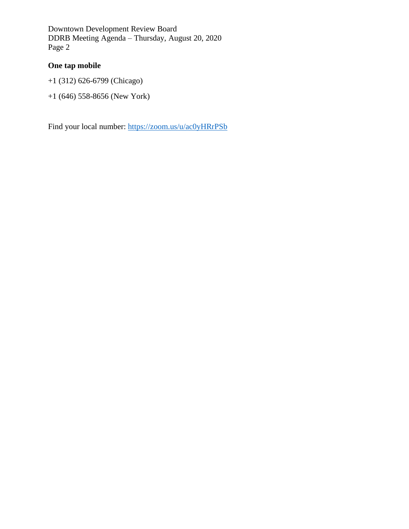Downtown Development Review Board DDRB Meeting Agenda – Thursday, August 20, 2020 Page 2

## **One tap mobile**

- +1 (312) 626-6799 (Chicago)
- +1 (646) 558-8656 (New York)

Find your local number:<https://zoom.us/u/ac0yHRrPSb>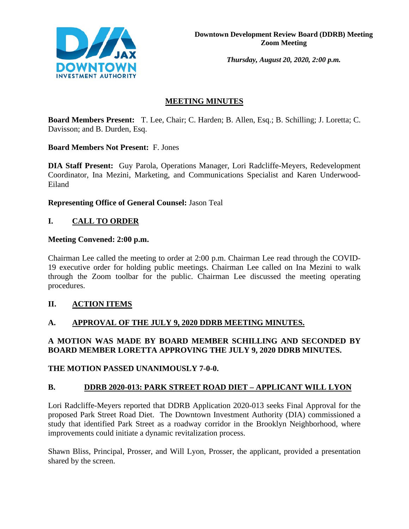

*Thursday, August 20, 2020, 2:00 p.m.* 

## **MEETING MINUTES**

**Board Members Present:** T. Lee, Chair; C. Harden; B. Allen, Esq.; B. Schilling; J. Loretta; C. Davisson; and B. Durden, Esq.

## **Board Members Not Present:** F. Jones

**DIA Staff Present:** Guy Parola, Operations Manager, Lori Radcliffe-Meyers, Redevelopment Coordinator, Ina Mezini, Marketing, and Communications Specialist and Karen Underwood-Eiland

**Representing Office of General Counsel:** Jason Teal

# **I. CALL TO ORDER**

## **Meeting Convened: 2:00 p.m.**

Chairman Lee called the meeting to order at 2:00 p.m. Chairman Lee read through the COVID-19 executive order for holding public meetings. Chairman Lee called on Ina Mezini to walk through the Zoom toolbar for the public. Chairman Lee discussed the meeting operating procedures.

## **II. ACTION ITEMS**

## **A. APPROVAL OF THE JULY 9, 2020 DDRB MEETING MINUTES.**

## **A MOTION WAS MADE BY BOARD MEMBER SCHILLING AND SECONDED BY BOARD MEMBER LORETTA APPROVING THE JULY 9, 2020 DDRB MINUTES.**

## **THE MOTION PASSED UNANIMOUSLY 7-0-0.**

## **B. DDRB 2020-013: PARK STREET ROAD DIET – APPLICANT WILL LYON**

Lori Radcliffe-Meyers reported that DDRB Application 2020-013 seeks Final Approval for the proposed Park Street Road Diet. The Downtown Investment Authority (DIA) commissioned a study that identified Park Street as a roadway corridor in the Brooklyn Neighborhood, where improvements could initiate a dynamic revitalization process.

Shawn Bliss, Principal, Prosser, and Will Lyon, Prosser, the applicant, provided a presentation shared by the screen.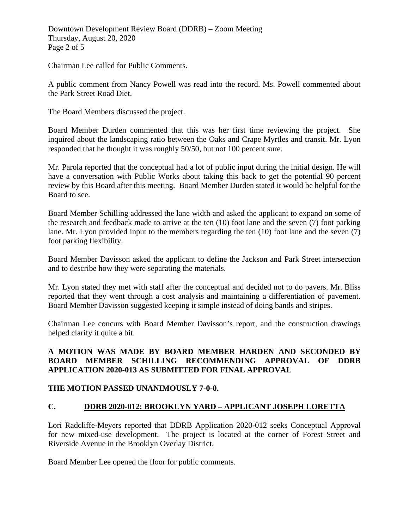Downtown Development Review Board (DDRB) – Zoom Meeting Thursday, August 20, 2020 Page 2 of 5

Chairman Lee called for Public Comments.

A public comment from Nancy Powell was read into the record. Ms. Powell commented about the Park Street Road Diet.

The Board Members discussed the project.

Board Member Durden commented that this was her first time reviewing the project. She inquired about the landscaping ratio between the Oaks and Crape Myrtles and transit. Mr. Lyon responded that he thought it was roughly 50/50, but not 100 percent sure.

Mr. Parola reported that the conceptual had a lot of public input during the initial design. He will have a conversation with Public Works about taking this back to get the potential 90 percent review by this Board after this meeting. Board Member Durden stated it would be helpful for the Board to see.

Board Member Schilling addressed the lane width and asked the applicant to expand on some of the research and feedback made to arrive at the ten (10) foot lane and the seven (7) foot parking lane. Mr. Lyon provided input to the members regarding the ten (10) foot lane and the seven (7) foot parking flexibility.

Board Member Davisson asked the applicant to define the Jackson and Park Street intersection and to describe how they were separating the materials.

Mr. Lyon stated they met with staff after the conceptual and decided not to do pavers. Mr. Bliss reported that they went through a cost analysis and maintaining a differentiation of pavement. Board Member Davisson suggested keeping it simple instead of doing bands and stripes.

Chairman Lee concurs with Board Member Davisson's report, and the construction drawings helped clarify it quite a bit.

## **A MOTION WAS MADE BY BOARD MEMBER HARDEN AND SECONDED BY BOARD MEMBER SCHILLING RECOMMENDING APPROVAL OF DDRB APPLICATION 2020-013 AS SUBMITTED FOR FINAL APPROVAL**

## **THE MOTION PASSED UNANIMOUSLY 7-0-0.**

## **C. DDRB 2020-012: BROOKLYN YARD – APPLICANT JOSEPH LORETTA**

Lori Radcliffe-Meyers reported that DDRB Application 2020-012 seeks Conceptual Approval for new mixed-use development. The project is located at the corner of Forest Street and Riverside Avenue in the Brooklyn Overlay District.

Board Member Lee opened the floor for public comments.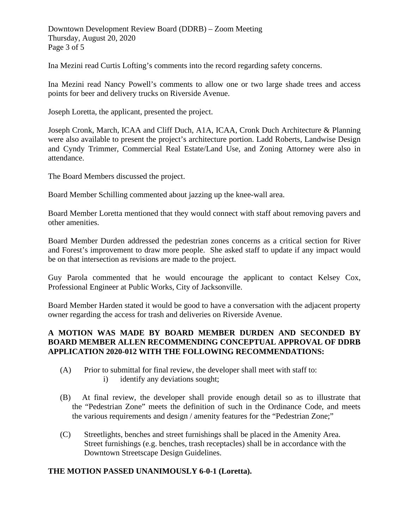Downtown Development Review Board (DDRB) – Zoom Meeting Thursday, August 20, 2020 Page 3 of 5

Ina Mezini read Curtis Lofting's comments into the record regarding safety concerns.

Ina Mezini read Nancy Powell's comments to allow one or two large shade trees and access points for beer and delivery trucks on Riverside Avenue.

Joseph Loretta, the applicant, presented the project.

Joseph Cronk, March, ICAA and Cliff Duch, A1A, ICAA, Cronk Duch Architecture & Planning were also available to present the project's architecture portion. Ladd Roberts, Landwise Design and Cyndy Trimmer, Commercial Real Estate/Land Use, and Zoning Attorney were also in attendance.

The Board Members discussed the project.

Board Member Schilling commented about jazzing up the knee-wall area.

Board Member Loretta mentioned that they would connect with staff about removing pavers and other amenities.

Board Member Durden addressed the pedestrian zones concerns as a critical section for River and Forest's improvement to draw more people. She asked staff to update if any impact would be on that intersection as revisions are made to the project.

Guy Parola commented that he would encourage the applicant to contact Kelsey Cox, Professional Engineer at Public Works, City of Jacksonville.

Board Member Harden stated it would be good to have a conversation with the adjacent property owner regarding the access for trash and deliveries on Riverside Avenue.

#### **A MOTION WAS MADE BY BOARD MEMBER DURDEN AND SECONDED BY BOARD MEMBER ALLEN RECOMMENDING CONCEPTUAL APPROVAL OF DDRB APPLICATION 2020-012 WITH THE FOLLOWING RECOMMENDATIONS:**

- (A) Prior to submittal for final review, the developer shall meet with staff to: i) identify any deviations sought;
- (B) At final review, the developer shall provide enough detail so as to illustrate that the "Pedestrian Zone" meets the definition of such in the Ordinance Code, and meets the various requirements and design / amenity features for the "Pedestrian Zone;"
- (C) Streetlights, benches and street furnishings shall be placed in the Amenity Area. Street furnishings (e.g. benches, trash receptacles) shall be in accordance with the Downtown Streetscape Design Guidelines.

#### **THE MOTION PASSED UNANIMOUSLY 6-0-1 (Loretta).**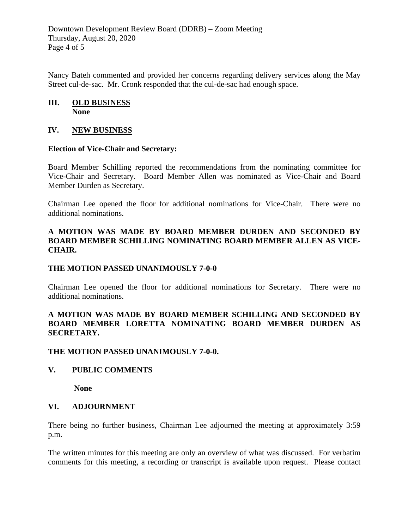Downtown Development Review Board (DDRB) – Zoom Meeting Thursday, August 20, 2020 Page 4 of 5

Nancy Bateh commented and provided her concerns regarding delivery services along the May Street cul-de-sac. Mr. Cronk responded that the cul-de-sac had enough space.

#### **III. OLD BUSINESS None**

#### **IV. NEW BUSINESS**

#### **Election of Vice-Chair and Secretary:**

Board Member Schilling reported the recommendations from the nominating committee for Vice-Chair and Secretary. Board Member Allen was nominated as Vice-Chair and Board Member Durden as Secretary.

Chairman Lee opened the floor for additional nominations for Vice-Chair. There were no additional nominations.

#### **A MOTION WAS MADE BY BOARD MEMBER DURDEN AND SECONDED BY BOARD MEMBER SCHILLING NOMINATING BOARD MEMBER ALLEN AS VICE-CHAIR.**

#### **THE MOTION PASSED UNANIMOUSLY 7-0-0**

Chairman Lee opened the floor for additional nominations for Secretary. There were no additional nominations.

#### **A MOTION WAS MADE BY BOARD MEMBER SCHILLING AND SECONDED BY BOARD MEMBER LORETTA NOMINATING BOARD MEMBER DURDEN AS SECRETARY.**

#### **THE MOTION PASSED UNANIMOUSLY 7-0-0.**

#### **V. PUBLIC COMMENTS**

 **None** 

#### **VI. ADJOURNMENT**

There being no further business, Chairman Lee adjourned the meeting at approximately 3:59 p.m.

The written minutes for this meeting are only an overview of what was discussed. For verbatim comments for this meeting, a recording or transcript is available upon request. Please contact